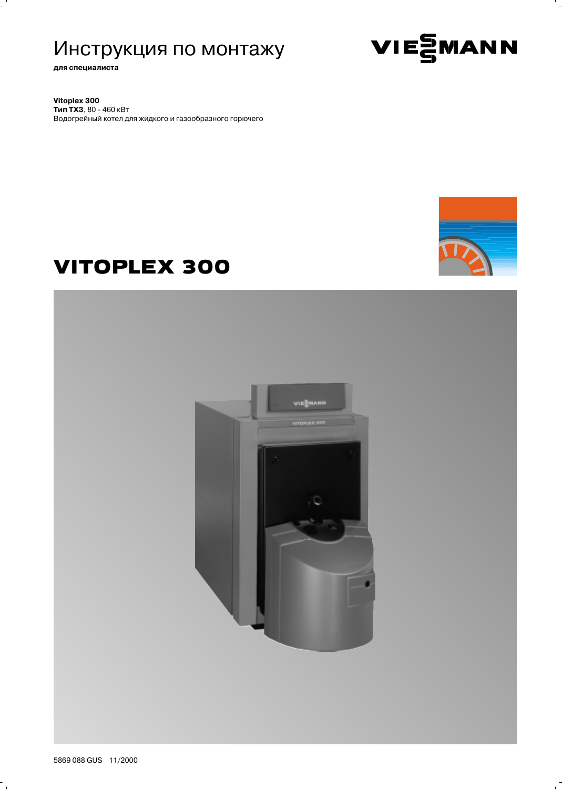# Инструкция по монтажу

для специалиста

Vitoplex 300 Тип ТХЗ, 80 - 460 кВт Водогрейный котел для жидкого и газообразного горючего



VIESMANN

# **VITOPLEX 300**



۰.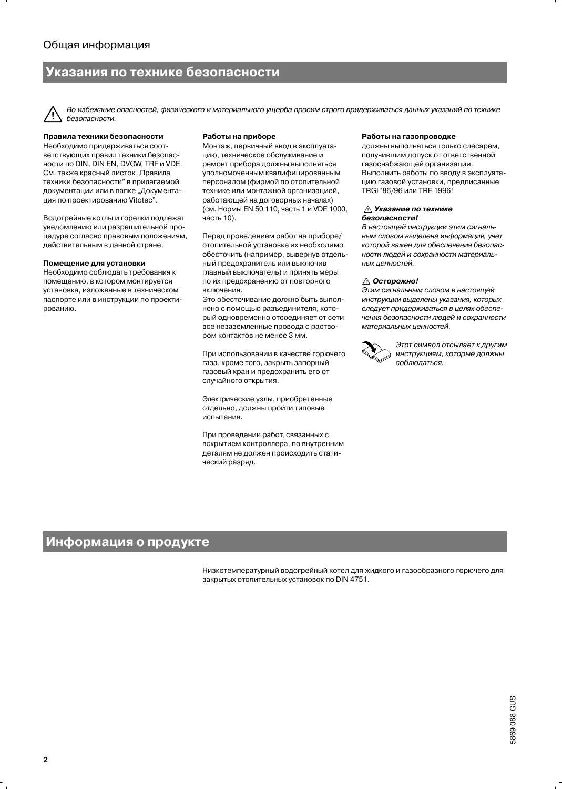# /казания по технике безопасности

Во избежание опасностей, физического и материального ущерба просим строго придерживаться данных указаний по технике безопасности.

#### Правила техники безопасности

Необходимо придерживаться соответствующих правил техники безопасности по DIN, DIN EN, DVGW, TRF и VDE. См. также красный листок "Правила техники безопасности" в прилагаемой документации или в папке "Документация по проектированию Vitotec".

Водогрейные котлы и горелки подлежат уведомлению или разрешительной процедуре согласно правовым положениям, действительным в данной стране.

#### Помещение для установки

Необходимо соблюдать требования к помещению, в котором монтируется установка, изложенные в техническом паспорте или в инструкции по проектированию.

#### Работы на приборе

Монтаж, первичный ввод в эксплуатацию, техническое обслуживание и ремонт прибора должны выполняться уполномоченным квалифицированным персоналом (фирмой по отопительной технике или монтажной организацией, работающей на договорных началах) (см. Нормы EN 50 110, часть 1 и VDE 1000, часть 10).

Перед проведением работ на приборе/ отопительной установке их необходимо обесточить (например, вывернув отдельный предохранитель или выключив главный выключатель) и принять меры по их предохранению от повторного ВКЛЮЧАНИЯ

Это обесточивание должно быть выполнено с помощью разъединителя, который одновременно отсоединяет от сети все незаземленные провода с раствором контактов не менее 3 мм.

При использовании в качестве горючего газа, кроме того, закрыть запорный газовый кран и предохранить его от случайного открытия.

Электрические узлы, приобретенные отдельно, должны пройти типовые испытания.

При проведении работ, связанных с вскрытием контроллера, по внутренним деталям не должен происходить статический разряд.

#### Работы на газопроводке

должны выполняться только слесарем, получившим допуск от ответственной газоснабжающей организации. Выполнить работы по вводу в эксплуатацию газовой установки, предписанные TRGI '86/96 или TRF 1996!

#### ∆ Указание по технике безопасности!

В настоящей инструкции этим сигнальным словом выделена информация, учет которой важен для обеспечения безопасности людей и сохранности материальных ценностей.

#### ∆ Осторожно!

Этим сигнальным словом в настоящей инструкции выделены указания, которых следует придерживаться в целях обеспечения безопасности людей и сохранности материальных ценностей.



Этот символ отсылает к другим инструкциям, которые должны соблюдаться.

### Информация о продукте

Низкотемпературный водогрейный котел для жидкого и газообразного горючего для закрытых отопительных установок по DIN 4751.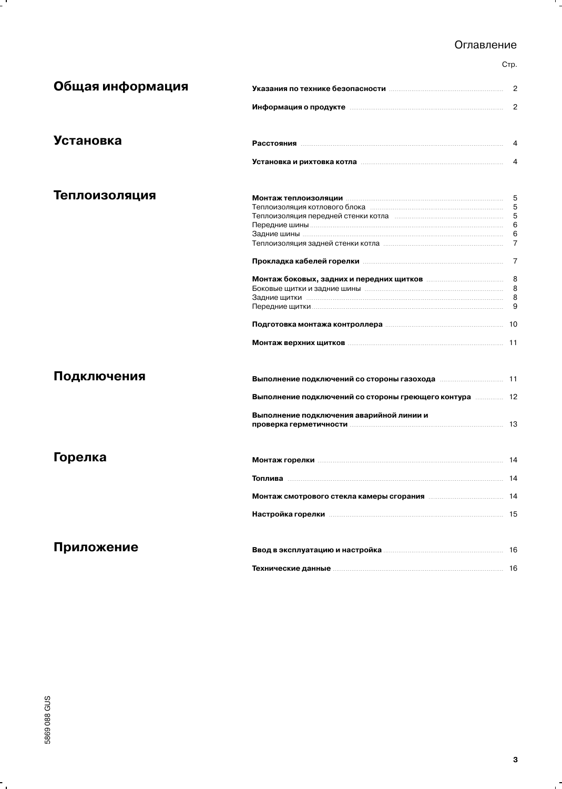# Оглавление

Стр.

۰.

| Общая информация |                                                                                                                      | 2  |
|------------------|----------------------------------------------------------------------------------------------------------------------|----|
|                  | Информация о продукте повеспейский положительной детей в 2                                                           |    |
| Установка        |                                                                                                                      |    |
|                  | Установка и рихтовка котла пополнительно по полной полности.                                                         | 4  |
| Теплоизоляция    | <b>Монтаж теплоизоляции политиантинопользовать политиантинопользовать бездировать бездировать бездировать бездир</b> |    |
|                  |                                                                                                                      | -5 |
|                  | Теплоизоляция передней стенки котла попросождения составивателя и полности.                                          | 5  |
|                  |                                                                                                                      | 6  |
|                  |                                                                                                                      | -6 |
|                  |                                                                                                                      |    |
|                  | Прокладка кабелей горелки повестанностроенности и прокладка кабелей горелки повестанности и так                      |    |
|                  |                                                                                                                      |    |
|                  |                                                                                                                      | 8  |
|                  |                                                                                                                      |    |
|                  |                                                                                                                      |    |
|                  | Подготовка монтажа контроллера пополнительно подделения и по-                                                        |    |
|                  |                                                                                                                      |    |
| Подключения      |                                                                                                                      |    |
|                  | Выполнение подключений со стороны греющего контура  12                                                               |    |
|                  | Выполнение подключения аварийной линии и                                                                             |    |
|                  |                                                                                                                      |    |
|                  |                                                                                                                      |    |
| Горелка          |                                                                                                                      |    |
|                  |                                                                                                                      |    |
|                  |                                                                                                                      |    |
|                  |                                                                                                                      |    |
| Приложение       |                                                                                                                      |    |
|                  | Технические данные политиками по технические данные по так на технические данные по технические действия и техн      |    |

 $\ddot{\phantom{0}}$ 

 $\mathbf{r}$ 

f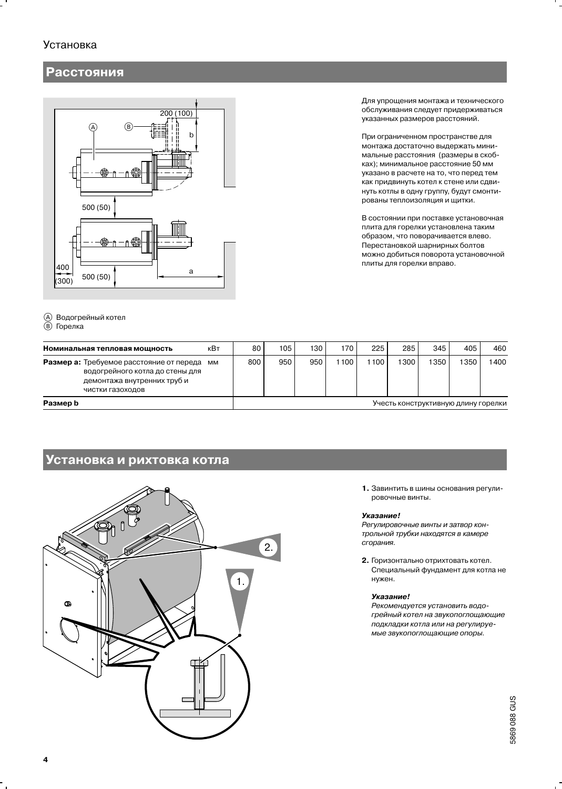# **Установка**

# Расстояния



(A) Водог<br>(B) Горел

| -рейный котел<br>ка                                                  |     |     |     |     |      |     |      |      |      |  |
|----------------------------------------------------------------------|-----|-----|-----|-----|------|-----|------|------|------|--|
| <b>іьная тепловая мощность</b>                                       | кВт | 80  | 105 | 130 | 170  | 225 | 285  | 345  | 405  |  |
| а: Требуемое расстояние от переда<br>водогрейного котла до стены для | MМ  | 800 | 950 | 950 | 1100 | 100 | 1300 | 1350 | 1350 |  |

Для упрощения монтажа и технического обслуживания следует придерживаться указанных размеров расстояний.

При ограниченном пространстве для монтажа достаточно выдержать минимальные расстояния (размеры в скобках); минимальное расстояние 50 мм указано в расчете на то, что перед тем как придвинуть котел к стене или сдвинуть котлы в одну группу, будут смонтированы теплоизоляция и щитки.

В состоянии при поставке установочная плита для горелки установлена таким образом, что поворачивается влево. Перестановкой шарнирных болтов можно добиться поворота установочной плиты для горелки вправо.

| Номинальная тепловая мощность                                                                                                  | кВт | 80                                  | 105 | 130 | 170 | 225 | 285  | 345 | 405  | 460  |
|--------------------------------------------------------------------------------------------------------------------------------|-----|-------------------------------------|-----|-----|-----|-----|------|-----|------|------|
| Размер а: Требуемое расстояние от переда<br>водогрейного котла до стены для<br>демонтажа внутренних труб и<br>чистки газоходов | ΜМ  | 800                                 | 950 | 950 | 100 | 100 | 1300 | 350 | 1350 | 1400 |
| Размер b                                                                                                                       |     | Учесть конструктивную длину горелки |     |     |     |     |      |     |      |      |

### Установка и рихтовка котла



1. Завинтить в шины основания регулировочные винты.

#### Указание!

Регулировочные винты и затвор контрольной трубки находятся в камере сгорания.

2. Горизонтально отрихтовать котел. Специальный фундамент для котла не нужен.

#### Указание!

Рекомендуется установить водогрейный котел на звукопоглощающие подкладки котла или на регулируемые звукопоглощающие опоры.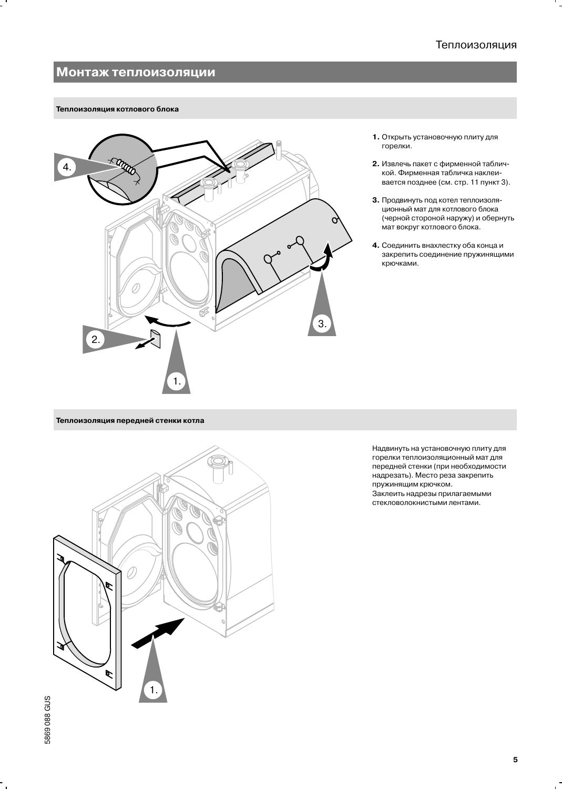# Монтаж теплоизоляции

#### Теплоизоляция котлового блока



- 1. Открыть установочную плиту для горелки.
- 2. Извлечь пакет с фирменной табличкой. Фирменная табличка наклеивается позднее (см. стр. 11 пункт 3).
- 3. Продвинуть под котел теплоизоляционный мат для котлового блока (черной стороной наружу) и обернуть мат вокруг котлового блока.
- 4. Соединить внахлестку оба конца и закрепить соединение пружинящими крючками.

Теплоизоляция передней стенки котла



Надвинуть на установочную плиту для горелки теплоизоляционный мат для передней стенки (при необходимости надрезать). Место реза закрепить пружинящим крючком. Заклеить надрезы прилагаемыми стекловолокнистыми лентами.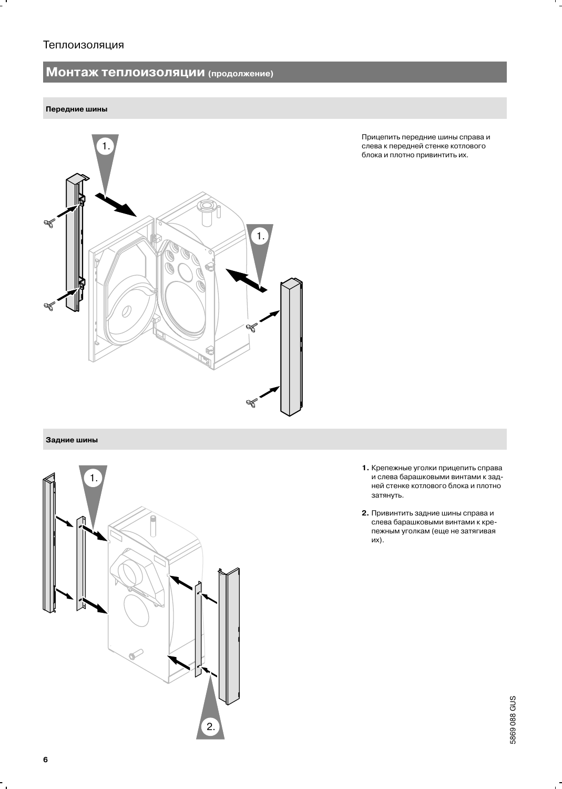# Теплоизоляция

# Монтаж теплоизоляции (продолжение)

#### Передние шины



Прицепить передние шины справа и слева к передней стенке котлового блока и плотно привинтить их.

# Задние шины



- 1. Крепежные уголки прицепить справа и слева барашковыми винтами к задней стенке котлового блока и плотно затянуть.
- 2. Привинтить задние шины справа и слева барашковыми винтами к крепежным уголкам (еще не затягивая их).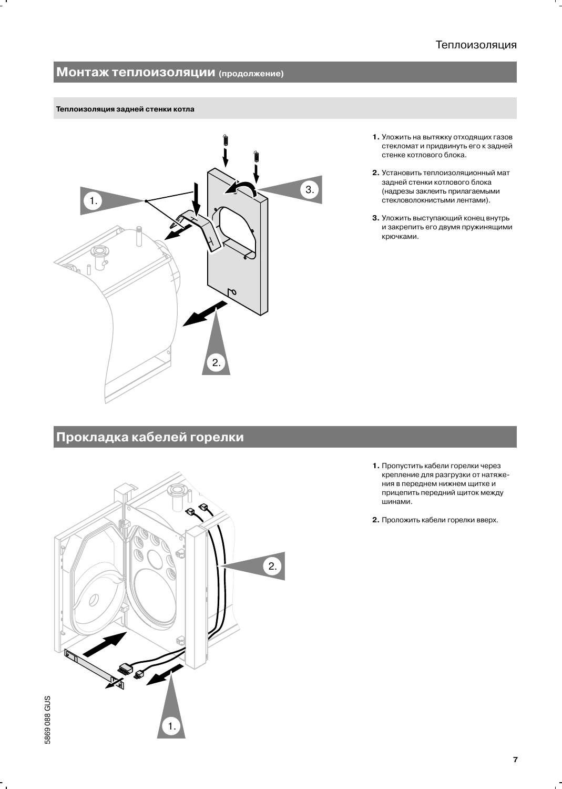# Монтаж теплоизоляции (продолжение)

#### Теплоизоляция задней стенки котла



- 1. Уложить на вытяжку отходящих газов стекломат и придвинуть его к задней стенке котлового блока.
- 2. Установить теплоизоляционный мат задней стенки котлового блока (надрезы заклеить прилагаемыми стекловолокнистыми лентами).
- 3. Уложить выступающий конец внутрь и закрепить его двумя пружинящими крючками.

# Прокладка кабелей горелки



- 1. Пропустить кабели горелки через крепление для разгрузки от натяжения в переднем нижнем щитке и прицепить передний щиток между шинами.
- 2. Проложить кабели горелки вверх.

 $\overline{7}$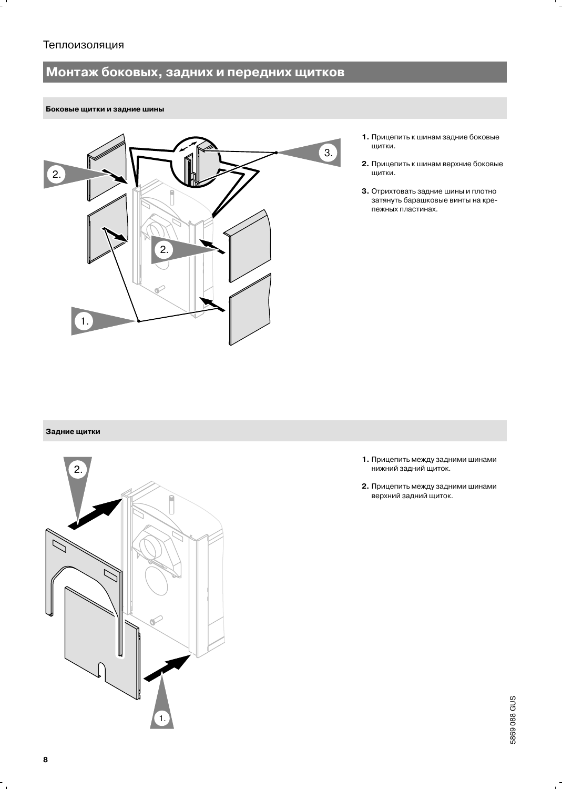# Монтаж боковых, задних и передних щитков

#### Боковые щитки и задние шины



- 1. Прицепить к шинам задние боковые щитки.
- 2. Прицепить к шинам верхние боковые щитки.
- 3. Отрихтовать задние шины и плотно затянуть барашковые винты на крепежных пластинах.

#### Задние щитки



- 1. Прицепить между задними шинами нижний задний щиток.
- 2. Прицепить между задними шинами верхний задний щиток.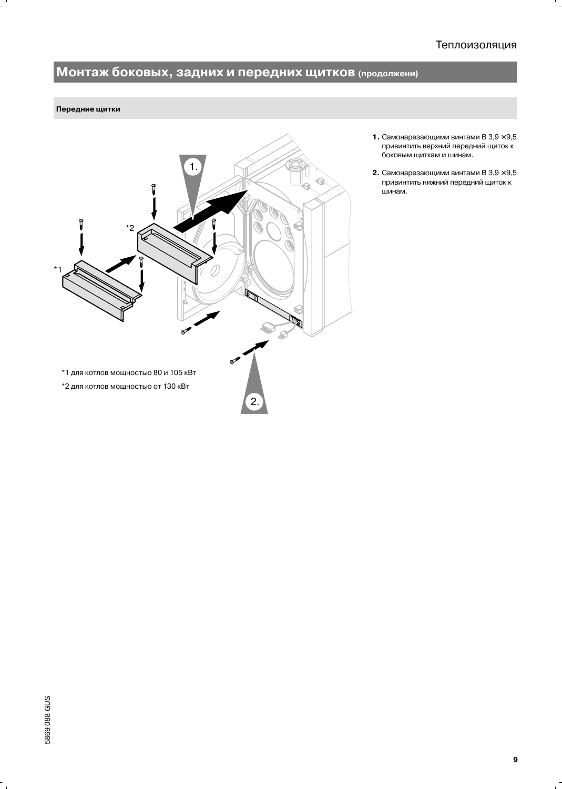# Теплоизоляция

# Монтаж боковых, задних и передних щитков (продолжени)

#### Передние щитки



- 1. Самонарезающими винтами В  $3,9 \times 9,5$ привинтить верхний передний щиток к боковым щиткам и шинам.
- **2.** Самонарезающими винтами В  $3,9 \times 9,5$ привинтить нижний передний щиток к шинам.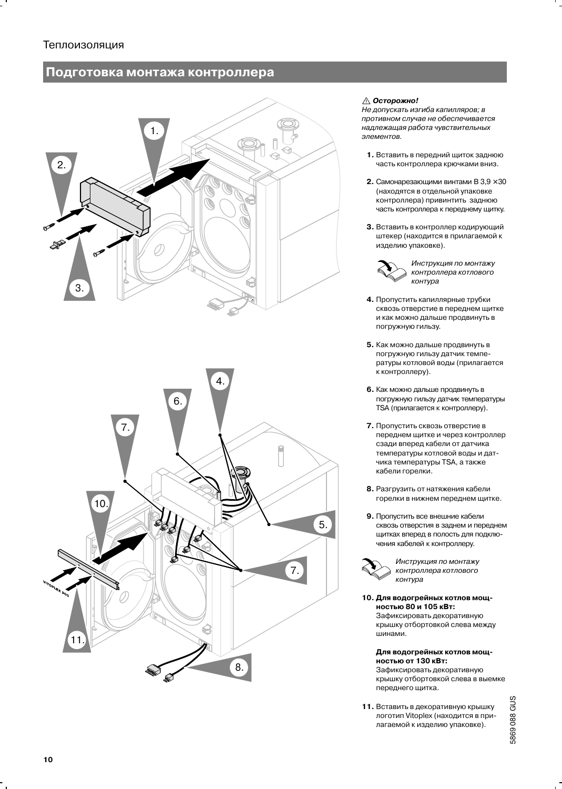# Подготовка монтажа контроллера





#### ∆ Осторожно!

Не допускать изгиба капилляров; в противном случае не обеспечивается надлежащая работа чувствительных элементов.

- 1. Вставить в передний щиток заднюю часть контроллера крючками вниз.
- **2.** Самонарезающими винтами В  $3.9 \times 30$ (находятся в отдельной упаковке контроллера) привинтить заднюю часть контроллера к переднему щитку.
- 3. Вставить в контроллер кодирующий штекер (находится в прилагаемой к изделию упаковке).



погружную гильзу.

- 4. Пропустить капиллярные трубки сквозь отверстие в переднем щитке
- 5. Как можно дальше продвинуть в погружную гильзу датчик температуры котловой воды (прилагается к контроллеру).

и как можно дальше продвинуть в

- 6. Как можно дальше продвинуть в погружную гильзу датчик температуры TSA (прилагается к контроллеру).
- 7. Пропустить сквозь отверстие в переднем шитке и через контроллер сзади вперед кабели от датчика температуры котловой воды и датчика температуры TSA, а также кабели горелки.
- 8. Разгрузить от натяжения кабели горелки в нижнем переднем щитке.
- 9. Пропустить все внешние кабели сквозь отверстия в заднем и переднем щитках вперед в полость для подключения кабелей к контроллеру.

Инструкция по монтажу контроллера котлового контура

10. Для водогрейных котлов мощностью 80 и 105 кВт: Зафиксировать декоративную

крышку отбортовкой слева между шинами.

#### Для водогрейных котлов мощностью от 130 кВт:

Зафиксировать декоративную крышку отбортовкой слева в выемке переднего щитка.

11. Вставить в декоративную крышку логотип Vitoplex (находится в прилагаемой к изделию упаковке).

5869 088 GUS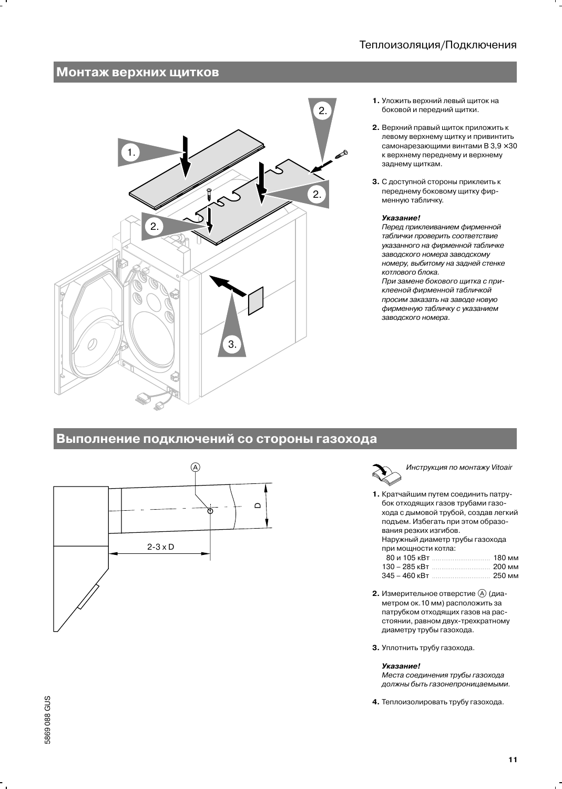# Монтаж верхних щитков



- 1. Уложить верхний левый шиток на боковой и передний щитки.
- 2. Верхний правый щиток приложить к левому верхнему щитку и привинтить самонарезающими винтами В  $3.9 \times 30$ к верхнему переднему и верхнему заднему щиткам.
- 3. С доступной стороны приклеить к переднему боковому щитку фирменную табличку.

#### Указание!

Перед приклеиванием фирменной таблички проверить соответствие указанного на фирменной табличке заводского номера заводскому номеру, выбитому на задней стенке котлового блока.

При замене бокового щитка с приклееной фирменной табличкой просим заказать на заводе новую фирменную табличку с указанием заводского номера.

# Выполнение подключений со стороны газохода



Инструкция по монтажу Vitoair

1. Кратчайшим путем соединить патрубок отходящих газов трубами газохода с дымовой трубой, создав легкий подъем. Избегать при этом образования резких изгибов. Наружный диаметр трубы газохода при мощности котла: 80 и 105 кВт .... 180 мм

| 130 – 285 кВт ……………………… 200 мм  |  |
|---------------------------------|--|
| 345 – 460 кВт ………………………… 250 мм |  |

- 2. Измерительное отверстие  $\textcircled{A}$  (диаметром ок.10 мм) расположить за патрубком отходящих газов на расстоянии, равном двух-трехкратному диаметру трубы газохода.
- 3. Уплотнить трубу газохода.

#### Указание!

Места соединения трубы газохода должны быть газонепроницаемыми.

4. Теплоизолировать трубу газохода.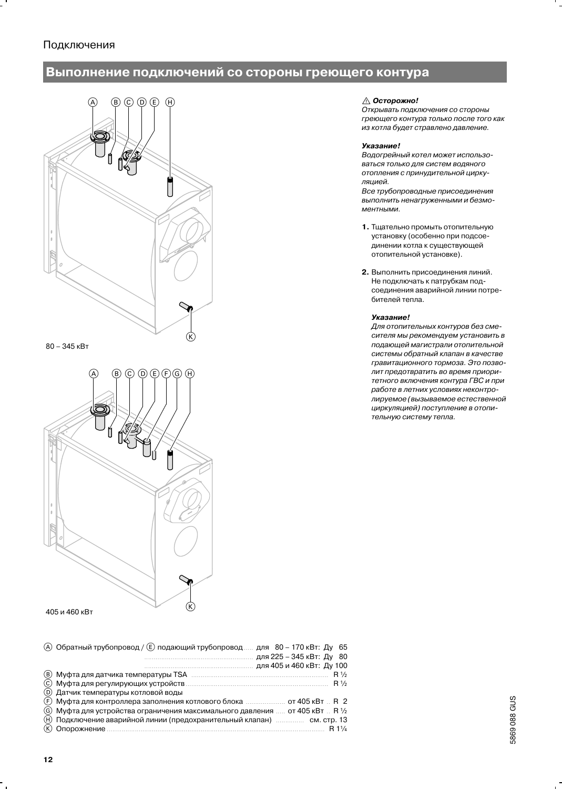# Подключения

# Выполнение подключений со стороны греющего контура



#### $80 - 345$  KBT



405 и 460 кВт

| (A)  Обратный трубопровод / (E) подающий трубопровод   для   80 – 170 кВт:  Ду   65 |
|-------------------------------------------------------------------------------------|
| для 225 – 345 кВт: Ду 80                                                            |
|                                                                                     |
|                                                                                     |
|                                                                                     |
| (D) Датчик температуры котловой воды                                                |
| (F) Муфта для контроллера заполнения котлового блока  от 405 кВт  R 2               |
| (G) Муфта для устройства ограничения максимального давления  от 405 кВт  R 1/2      |
| (H) Подключение аварийной линии (предохранительный клапан)  см. стр. 13             |
| R11/4                                                                               |
|                                                                                     |

# ∆ Осторожно!

Открывать подключения со стороны греющего контура только после того как из котла будет стравлено давление.

#### Указание!

Водогрейный котел может использоваться только для систем водяного отопления с принудительной циркуляцией.

Все трубопроводные присоединения выполнить ненагруженными и безмоментными.

- 1. Тщательно промыть отопительную установку (особенно при подсоединении котла к существующей отопительной установке).
- 2. Выполнить присоединения линий. Не подключать к патрубкам подсоединения аварийной линии потребителей тепла.

#### Указание!

Для отопительных контуров без смесителя мы рекомендуем установить в подающей магистрали отопительной системы обратный клапан в качестве гравитационного тормоза. Это позволит предотвратить во время приоритетного включения контура ГВС и при работе в летних условиях неконтролируемое (вызываемое естественной циркуляцией) поступление в отопительную систему тепла.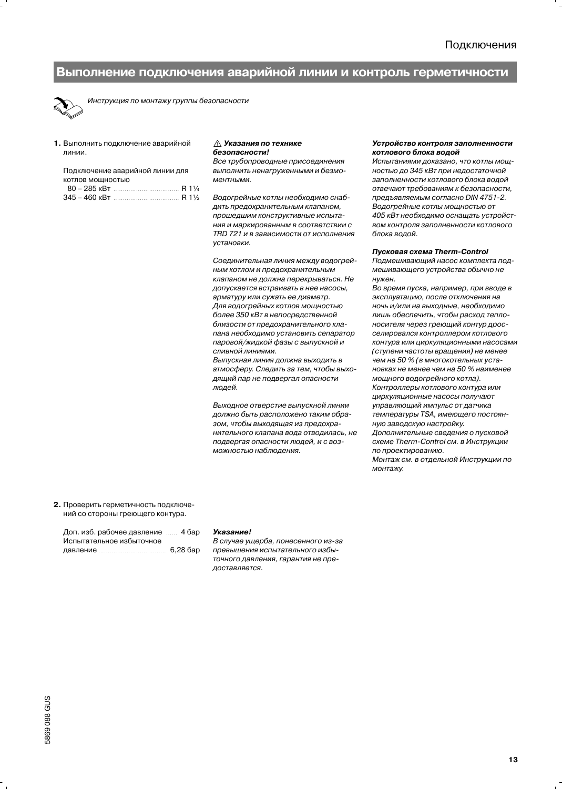### Выполнение подключения аварийной линии и контроль герметичности



Инструкция по монтажу группы безопасности

1. Выполнить подключение аварийной линии

| Подключение аварийной линии для                |  |  |  |  |  |  |
|------------------------------------------------|--|--|--|--|--|--|
| КОТЛОВ МОЩНОСТЬЮ                               |  |  |  |  |  |  |
| $80 - 285$ KBT R 1 <sup>1</sup> / <sub>4</sub> |  |  |  |  |  |  |
|                                                |  |  |  |  |  |  |

#### ∆ Указания по технике безопасности!

Все трубопроводные присоединения выполнить ненагруженными и безмоментными.

Водогрейные котлы необходимо снабдить предохранительным клапаном, прошедшим конструктивные испытания и маркированным в соответствии с TRD 721 и в зависимости от исполнения **УСТАНОВКИ** 

Соединительная линия между водогрейным котлом и предохранительным клапаном не должна перекрываться. Не допускается встраивать в нее насосы, арматуру или сужать ее диаметр. Для водогрейных котлов мощностью более 350 кВт в непосредственной близости от предохранительного клапана необходимо установить сепаратор паровой/жидкой фазы с выпускной и СЛИВНОЙ ЛИНИЯМИ.

Выпускная линия должна выходить в атмосферу. Следить за тем, чтобы выходящий пар не подвергал опасности люлей.

Выхолное отверстие выпускной линии должно быть расположено таким образом, чтобы выходящая из предохранительного клапана вода отводилась, не подвергая опасности людей, и с возможностью наблюдения.

#### Устройство контроля заполненности котлового блока водой

Испытаниями доказано, что котлы мощностью до 345 кВт при недостаточной заполненности котлового блока водой отвечают требованиям к безопасности, предъявляемым согласно DIN 4751-2. Водогрейные котлы мощностью от 405 кВт необходимо оснащать устройством контроля заполненности котлового блока водой.

#### Пусковая схема Therm-Control

Подмешивающий насос комплекта подмешивающего устройства обычно не нужен.

Во время пуска, например, при вводе в эксплуатацию, после отключения на ночь и/или на выходные, необходимо лишь обеспечить, чтобы расход теплоносителя через греющий контур дросселировался контроллером котлового контура или циркуляционными насосами (ступени частоты вращения) не менее чем на 50 % (в многокотельных установках не менее чем на 50 % наименее мощного водогрейного котла). Контроллеры котлового контура или циркуляционные насосы получают управляющий импульс от датчика температуры TSA, имеющего постоянную заводскую настройку. Дополнительные сведения о пусковой схеме Therm-Control см. в Инструкции по проектированию. Монтаж см. в отдельной Инструкции по монтажу.

2. Проверить герметичность подключений со стороны греющего контура.

Доп. изб. рабочее давление ...... 4 бар Испытательное избыточное 6,28 бар 

#### Указание!

В случае ущерба, понесенного из-за превышения испытательного избыточного давления, гарантия не предоставляется.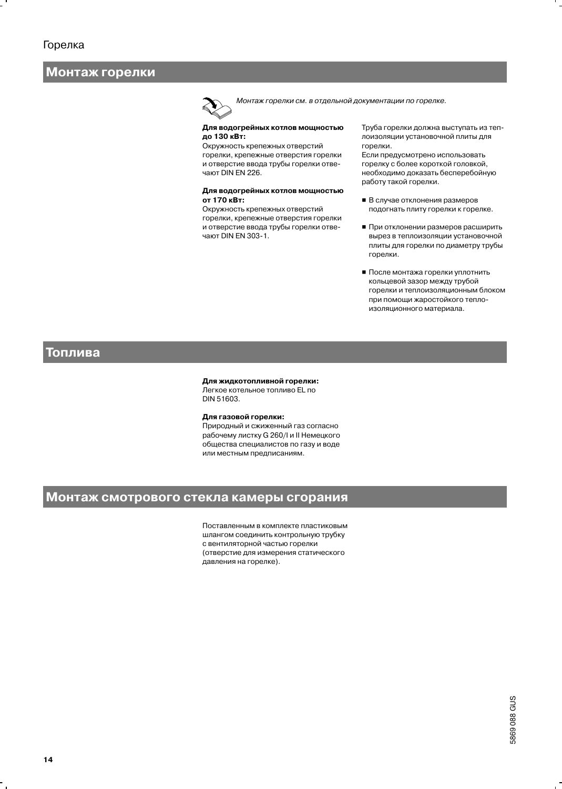# Монтаж горелки

Монтаж горелки см. в отдельной документации по горелке.

#### Для водогрейных котлов мощностью до 130 кВт:

Окружность крепежных отверстий горелки, крепежные отверстия горелки и отверстие ввода трубы горелки отвечают DIN EN 226.

#### Для водогрейных котлов мощностью от 170 кВт:

Окружность крепежных отверстий горелки, крепежные отверстия горелки и отверстие ввода трубы горелки отвечают DIN EN 303-1.

Труба горелки должна выступать из теплоизоляции установочной плиты для горелки.

Если предусмотрено использовать горелку с более короткой головкой, необходимо доказать бесперебойную работу такой горелки.

- В случае отклонения размеров подогнать плиту горелки к горелке.
- При отклонении размеров расширить вырез в теплоизоляции установочной плиты для горелки по диаметру трубы горелки.
- После монтажа горелки уплотнить кольцевой зазор между трубой горелки и теплоизоляционным блоком при помощи жаростойкого теплоизоляционного материала.

### Топлива

#### Для жидкотопливной горелки:

Легкое котельное топливо EL по DIN 51603.

#### Для газовой горелки:

Природный и сжиженный газ согласно рабочему листку G 260/I и II Немецкого общества специалистов по газу и воде или местным предписаниям.

# Монтаж смотрового стекла камеры сгорания

Поставленным в комплекте пластиковым шлангом соединить контрольную трубку с вентиляторной частью горелки (отверстие для измерения статического давления на горелке).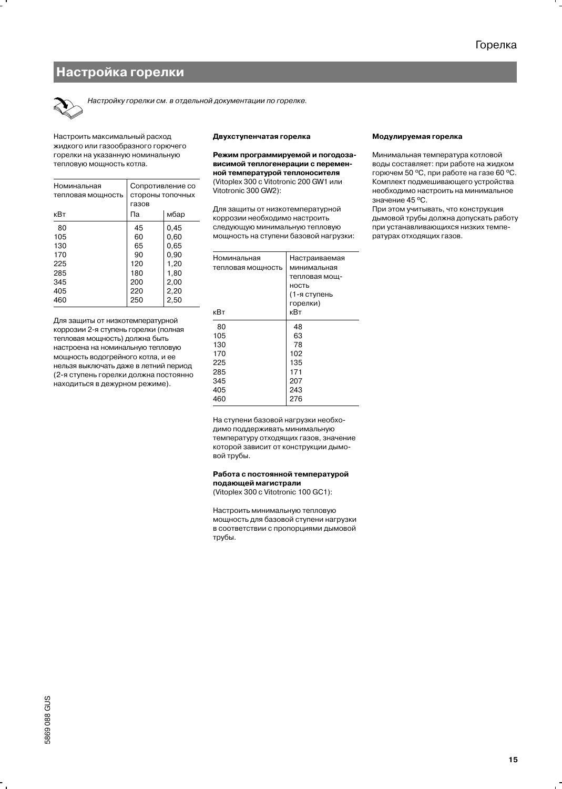# Настройка горелки



Настройку горелки см. в отдельной документации по горелке.

Настроить максимальный расход жидкого или газообразного горючего горелки на указанную номинальную тепловую мощность котла.

| Номинальная<br>тепловая мощность<br>кВт | Сопротивление со<br>стороны топочных<br>газов<br>Па | мбар |
|-----------------------------------------|-----------------------------------------------------|------|
| 80                                      | 45                                                  | 0.45 |
| 105                                     | 60                                                  | 0,60 |
| 130                                     | 65                                                  | 0.65 |
| 170                                     | 90                                                  | 0,90 |
| 225                                     | 120                                                 | 1,20 |
| 285                                     | 180                                                 | 1,80 |
| 345                                     | 200                                                 | 2,00 |
| 405                                     | 220                                                 | 2,20 |
| 460                                     | 250                                                 | 2,50 |

Для защиты от низкотемпературной коррозии 2-я ступень горелки (полная тепловая мощность) должна быть настроена на номинальную тепловую мощность водогрейного котла, и ее нельзя выключать даже в летний период (2-я ступень горелки должна постоянно находиться в дежурном режиме).

#### Двухступенчатая горелка

Режим программируемой и погодозависимой теплогенерации с переменной температурой теплоносителя (Vitoplex 300 c Vitotronic 200 GW1 или Vitotronic 300 GW2):

Для защиты от низкотемпературной коррозии необходимо настроить следующую минимальную тепловую мощность на ступени базовой нагрузки:

| Номинальная<br>тепловая мощность | Настраиваемая<br>минимальная<br>тепловая мощ-<br>ность<br>(1-я ступень |
|----------------------------------|------------------------------------------------------------------------|
|                                  | горелки)                                                               |
| кВт                              | кВт                                                                    |
| 80                               | 48                                                                     |
| 105                              | 63                                                                     |
| 130                              | 78                                                                     |
| 170                              | 102                                                                    |
| 225                              | 135                                                                    |
| 285                              | 171                                                                    |
| 345                              | 207                                                                    |
| 405                              | 243                                                                    |
| 460                              | 276                                                                    |

Модулируемая горелка

Минимальная температура котловой воды составляет: при работе на жидком горючем 50 °С, при работе на газе 60 °С. Комплект подмешивающего устройства необходимо настроить на минимальное значение 45 °С.

При этом учитывать, что конструкция дымовой трубы должна допускать работу при устанавливающихся низких температурах отходящих газов.

На ступени базовой нагрузки необходимо поддерживать минимальную температуру отходящих газов, значение которой зависит от конструкции дымовой трубы.

#### Работа с постоянной температурой подающей магистрали

(Vitoplex 300 c Vitotronic 100 GC1):

Настроить минимальную тепловую мощность для базовой ступени нагрузки в соответствии с пропорциями дымовой трубы.